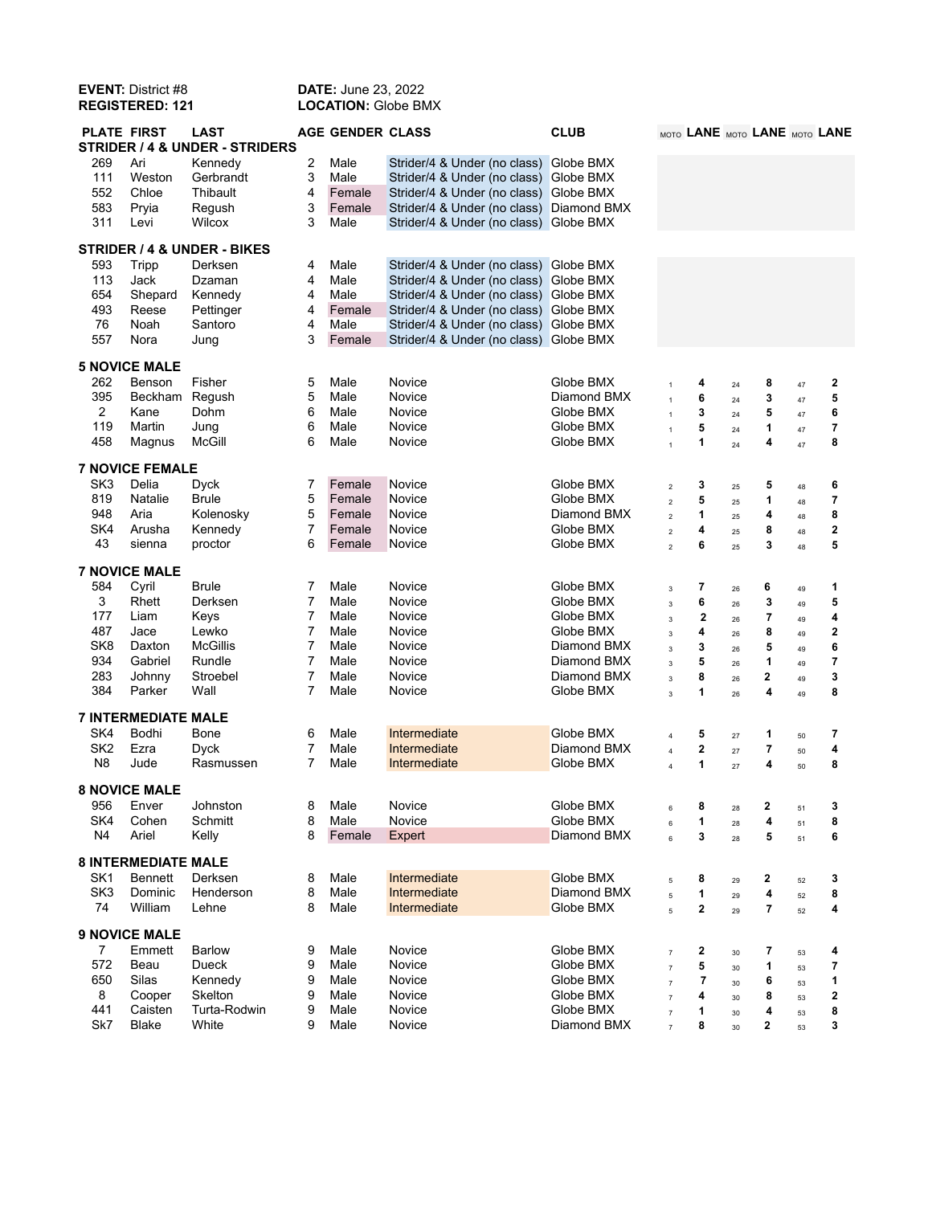| <b>EVENT: District #8</b><br><b>REGISTERED: 121</b> |                            | <b>DATE: June 23, 2022</b><br><b>LOCATION: Globe BMX</b> |                |                         |                                        |                  |                          |                               |          |                         |          |                         |
|-----------------------------------------------------|----------------------------|----------------------------------------------------------|----------------|-------------------------|----------------------------------------|------------------|--------------------------|-------------------------------|----------|-------------------------|----------|-------------------------|
| <b>PLATE FIRST</b>                                  |                            | <b>LAST</b><br>STRIDER / 4 & UNDER - STRIDERS            |                | <b>AGE GENDER CLASS</b> |                                        | <b>CLUB</b>      |                          | MOTO LANE MOTO LANE MOTO LANE |          |                         |          |                         |
| 269                                                 | Ari                        | Kennedy                                                  | 2              | Male                    | Strider/4 & Under (no class)           | Globe BMX        |                          |                               |          |                         |          |                         |
| 111                                                 | Weston                     | Gerbrandt                                                | 3              | Male                    | Strider/4 & Under (no class) Globe BMX |                  |                          |                               |          |                         |          |                         |
| 552                                                 | Chloe                      | Thibault                                                 | 4              | Female                  | Strider/4 & Under (no class)           | Globe BMX        |                          |                               |          |                         |          |                         |
| 583                                                 | Pryia                      | Regush                                                   | 3              | Female                  | Strider/4 & Under (no class)           | Diamond BMX      |                          |                               |          |                         |          |                         |
| 311                                                 | Levi                       | Wilcox                                                   | 3              | Male                    | Strider/4 & Under (no class) Globe BMX |                  |                          |                               |          |                         |          |                         |
|                                                     |                            | STRIDER / 4 & UNDER - BIKES                              |                |                         |                                        |                  |                          |                               |          |                         |          |                         |
| 593                                                 | Tripp                      | Derksen                                                  | 4              | Male                    | Strider/4 & Under (no class)           | Globe BMX        |                          |                               |          |                         |          |                         |
| 113                                                 | Jack                       | Dzaman                                                   | 4              | Male                    | Strider/4 & Under (no class)           | Globe BMX        |                          |                               |          |                         |          |                         |
| 654                                                 | Shepard                    | Kennedy                                                  | 4              | Male                    | Strider/4 & Under (no class) Globe BMX |                  |                          |                               |          |                         |          |                         |
| 493                                                 | Reese                      | Pettinger                                                | 4              | Female                  | Strider/4 & Under (no class)           | Globe BMX        |                          |                               |          |                         |          |                         |
| 76                                                  | Noah                       | Santoro                                                  | 4              | Male                    | Strider/4 & Under (no class)           | <b>Globe BMX</b> |                          |                               |          |                         |          |                         |
| 557                                                 | Nora                       | Jung                                                     | 3              | Female                  | Strider/4 & Under (no class) Globe BMX |                  |                          |                               |          |                         |          |                         |
| <b>5 NOVICE MALE</b>                                |                            |                                                          |                |                         |                                        |                  |                          |                               |          |                         |          |                         |
| 262                                                 | Benson                     | Fisher                                                   | 5              | Male                    | Novice                                 | Globe BMX        | $\overline{1}$           | 4                             | 24       | 8                       | $47\,$   | $\overline{\mathbf{c}}$ |
| 395                                                 | Beckham                    | Regush                                                   | 5              | Male                    | Novice                                 | Diamond BMX      | $\overline{1}$           | 6                             | 24       | 3                       | 47       | 5                       |
| 2                                                   | Kane                       | Dohm                                                     | 6              | Male                    | Novice                                 | Globe BMX        | $\mathbf{1}$             | 3                             | 24       | 5                       | 47       | 6                       |
| 119                                                 | Martin                     | Jung                                                     | 6              | Male                    | Novice                                 | Globe BMX        | $\overline{1}$           | 5                             | 24       | 1                       | 47       | 7                       |
| 458                                                 | Magnus                     | <b>McGill</b>                                            | 6              | Male                    | Novice                                 | Globe BMX        | $\mathbf{1}$             | 1                             | 24       | 4                       | 47       | 8                       |
| <b>7 NOVICE FEMALE</b>                              |                            |                                                          |                |                         |                                        |                  |                          |                               |          |                         |          |                         |
| SK <sub>3</sub>                                     | Delia                      | Dyck                                                     | 7              | Female                  | Novice                                 | Globe BMX        | $\boldsymbol{2}$         | 3                             | 25       | 5                       | 48       | 6                       |
| 819                                                 | Natalie                    | <b>Brule</b>                                             | 5              | Female                  | Novice                                 | Globe BMX        | $\overline{2}$           | 5                             | 25       | 1                       |          | 7                       |
| 948                                                 | Aria                       | Kolenosky                                                | 5              | Female                  | Novice                                 | Diamond BMX      |                          | 1                             |          | 4                       | 48       | 8                       |
| SK4                                                 | Arusha                     | Kennedy                                                  | 7              | Female                  | Novice                                 | Globe BMX        | $\overline{2}$           | 4                             | 25       | 8                       | 48       | $\mathbf 2$             |
| 43                                                  | sienna                     | proctor                                                  | 6              | Female                  | Novice                                 | Globe BMX        | $\overline{2}$           | 6                             | 25       | 3                       | 48       | 5                       |
|                                                     |                            |                                                          |                |                         |                                        |                  | $\overline{2}$           |                               | 25       |                         | 48       |                         |
|                                                     | <b>7 NOVICE MALE</b>       |                                                          |                |                         |                                        |                  |                          |                               |          |                         |          |                         |
| 584                                                 | Cyril                      | <b>Brule</b>                                             | 7              | Male                    | Novice                                 | Globe BMX        | $\mathsf 3$              | 7                             | 26       | 6                       | 49       | 1                       |
| 3                                                   | Rhett                      | Derksen                                                  | 7              | Male                    | Novice                                 | Globe BMX        | $\mathsf 3$              | 6                             | 26       | 3                       | 49       | 5                       |
| 177                                                 | Liam                       | Keys                                                     | 7              | Male                    | Novice                                 | Globe BMX        | $\mathsf 3$              | 2                             | 26       | $\overline{\mathbf{r}}$ | 49       | 4                       |
| 487                                                 | Jace                       | Lewko                                                    | 7              | Male                    | Novice                                 | Globe BMX        | $\overline{3}$           | 4                             | 26       | 8                       | 49       | 2                       |
| SK <sub>8</sub>                                     | Daxton                     | <b>McGillis</b>                                          | 7              | Male                    | Novice                                 | Diamond BMX      | $\mathsf 3$              | 3                             | 26       | 5                       | 49       | 6                       |
| 934                                                 | Gabriel                    | Rundle                                                   | 7              | Male                    | Novice                                 | Diamond BMX      | $\mathbf 3$              | 5                             | 26       | 1                       | 49       | $\overline{\mathbf{7}}$ |
| 283                                                 | Johnny                     | Stroebel                                                 | $\overline{7}$ | Male                    | Novice                                 | Diamond BMX      | $\mathsf 3$              | 8                             | 26       | 2                       | 49       | 3                       |
| 384                                                 | Parker                     | Wall                                                     | 7              | Male                    | Novice                                 | Globe BMX        | $\overline{3}$           | 1                             | 26       | $\overline{\mathbf{4}}$ | 49       | 8                       |
|                                                     | <b>7 INTERMEDIATE MALE</b> |                                                          |                |                         |                                        |                  |                          |                               |          |                         |          |                         |
| SK4                                                 | Bodhi                      | Bone                                                     | 6              | Male                    | Intermediate                           | Globe BMX        | $\overline{4}$           | 5                             | 27       | 1                       | 50       | 7                       |
| SK <sub>2</sub>                                     | Ezra                       | Dyck                                                     | 7              | Male                    | Intermediate                           | Diamond BMX      | $\overline{4}$           | $\mathbf{2}$                  | 27       | 7                       | 50       | 4                       |
| N8                                                  | Jude                       | Rasmussen                                                |                | Male                    | Intermediate                           | Globe BMX        | $\sqrt{4}$               | 1                             | $27\,$   | 4                       | 50       | 8                       |
|                                                     | <b>8 NOVICE MALE</b>       |                                                          |                |                         |                                        |                  |                          |                               |          |                         |          |                         |
| 956                                                 | Enver                      | Johnston                                                 | 8              | Male                    | Novice                                 | Globe BMX        | 6                        | 8                             | 28       | 2                       | 51       | 3                       |
| SK4                                                 | Cohen                      | Schmitt                                                  | 8              | Male                    | Novice                                 | Globe BMX        |                          | 1                             |          | 4                       |          | 8                       |
| N <sub>4</sub>                                      | Ariel                      | Kelly                                                    | 8              | Female                  | Expert                                 | Diamond BMX      | 6<br>6                   | 3                             | 28<br>28 | 5                       | 51<br>51 | 6                       |
|                                                     |                            |                                                          |                |                         |                                        |                  |                          |                               |          |                         |          |                         |
| <b>8 INTERMEDIATE MALE</b>                          |                            |                                                          |                |                         |                                        |                  |                          |                               |          |                         |          |                         |
| SK <sub>1</sub>                                     | <b>Bennett</b>             | Derksen                                                  | 8              | Male                    | Intermediate                           | Globe BMX        | $\mathbf 5$              | 8                             | 29       | 2                       | 52       | 3                       |
| SK <sub>3</sub>                                     | Dominic                    | Henderson                                                | 8              | Male                    | Intermediate                           | Diamond BMX      | 5                        | 1                             | 29       | 4                       | 52       | 8                       |
| 74                                                  | William                    | Lehne                                                    | 8              | Male                    | Intermediate                           | Globe BMX        | 5                        | 2                             | 29       | $\overline{\mathbf{r}}$ | 52       | 4                       |
| <b>9 NOVICE MALE</b>                                |                            |                                                          |                |                         |                                        |                  |                          |                               |          |                         |          |                         |
| 7                                                   | Emmett                     | <b>Barlow</b>                                            | 9              | Male                    | Novice                                 | Globe BMX        | $\overline{7}$           | 2                             | 30       | 7                       | 53       | 4                       |
| 572                                                 | Beau                       | Dueck                                                    | 9              | Male                    | Novice                                 | Globe BMX        | $\overline{\mathcal{I}}$ | 5                             | 30       | 1                       | 53       | 7                       |
| 650                                                 | Silas                      | Kennedy                                                  | 9              | Male                    | Novice                                 | Globe BMX        | $\overline{7}$           | 7                             | 30       | 6                       | 53       | 1                       |
| 8                                                   | Cooper                     | Skelton                                                  | 9              | Male                    | Novice                                 | Globe BMX        | $\overline{\mathcal{I}}$ | 4                             | 30       | 8                       | 53       | 2                       |
| 441                                                 | Caisten                    | Turta-Rodwin                                             | 9              | Male                    | Novice                                 | Globe BMX        | $\scriptstyle{7}$        | 1                             | 30       | 4                       | 53       | 8                       |
| Sk7                                                 | <b>Blake</b>               | White                                                    | 9              | Male                    | Novice                                 | Diamond BMX      | $\overline{7}$           | 8                             | 30       | 2                       | 53       | 3                       |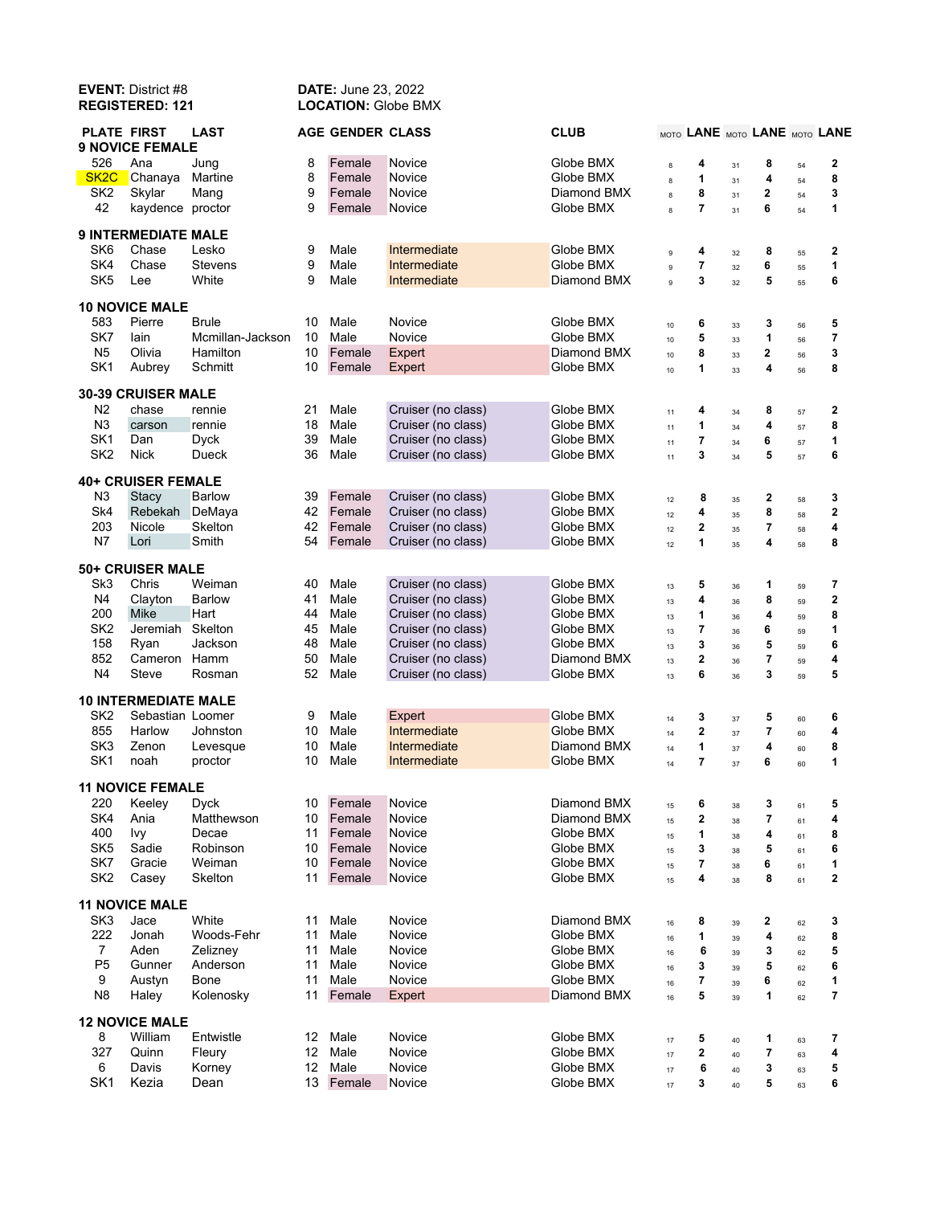| <b>EVENT: District #8</b><br><b>REGISTERED: 121</b> |                             |                  | <b>DATE: June 23, 2022</b><br><b>LOCATION: Globe BMX</b> |                         |                    |             |             |                |    |                         |    |                               |
|-----------------------------------------------------|-----------------------------|------------------|----------------------------------------------------------|-------------------------|--------------------|-------------|-------------|----------------|----|-------------------------|----|-------------------------------|
| <b>PLATE FIRST</b>                                  | <b>9 NOVICE FEMALE</b>      | <b>LAST</b>      |                                                          | <b>AGE GENDER CLASS</b> |                    | <b>CLUB</b> |             |                |    |                         |    | MOTO LANE MOTO LANE MOTO LANE |
| 526                                                 | Ana                         | Jung             | 8                                                        | Female                  | Novice             | Globe BMX   | 8           | 4              | 31 | 8                       | 54 | 2                             |
| SK <sub>2</sub> C                                   | Chanaya                     | Martine          | 8                                                        | Female                  | Novice             | Globe BMX   | 8           | 1              | 31 | 4                       | 54 | 8                             |
| SK <sub>2</sub>                                     | Skylar                      | Mang             | 9                                                        | Female                  | Novice             | Diamond BMX | 8           | 8              | 31 | 2                       | 54 | 3                             |
| 42                                                  | kaydence proctor            |                  | 9                                                        | Female                  | Novice             | Globe BMX   | 8           | 7              | 31 | 6                       | 54 | 1                             |
|                                                     | <b>9 INTERMEDIATE MALE</b>  |                  |                                                          |                         |                    |             |             |                |    |                         |    |                               |
| SK <sub>6</sub>                                     | Chase                       | Lesko            | 9                                                        | Male                    | Intermediate       | Globe BMX   | $\mathsf g$ | 4              | 32 | 8                       | 55 | $\mathbf 2$                   |
| SK4                                                 | Chase                       | Stevens          | 9                                                        | Male                    | Intermediate       | Globe BMX   | 9           | $\overline{7}$ | 32 | 6                       | 55 | 1                             |
| SK <sub>5</sub>                                     | Lee                         | White            | 9                                                        | Male                    | Intermediate       | Diamond BMX | 9           | 3              | 32 | 5                       | 55 | 6                             |
|                                                     | <b>10 NOVICE MALE</b>       |                  |                                                          |                         |                    |             |             |                |    |                         |    |                               |
| 583                                                 | Pierre                      | <b>Brule</b>     | 10                                                       | Male                    | Novice             | Globe BMX   | 10          | 6              | 33 | 3                       | 56 | 5                             |
| SK7                                                 | lain                        | Mcmillan-Jackson | 10                                                       | Male                    | Novice             | Globe BMX   | 10          | 5              | 33 | 1                       | 56 | 7                             |
| N <sub>5</sub>                                      | Olivia                      | Hamilton         | 10                                                       | Female                  | Expert             | Diamond BMX | 10          | 8              | 33 | 2                       | 56 | 3                             |
| SK <sub>1</sub>                                     | Aubrey                      | Schmitt          | 10                                                       | Female                  | Expert             | Globe BMX   | 10          | 1              | 33 | 4                       | 56 | 8                             |
|                                                     | 30-39 CRUISER MALE          |                  |                                                          |                         |                    |             |             |                |    |                         |    |                               |
| N <sub>2</sub>                                      | chase                       | rennie           | 21                                                       | Male                    | Cruiser (no class) | Globe BMX   | 11          | 4              | 34 | 8                       | 57 | 2                             |
| N3                                                  | carson                      | rennie           | 18                                                       | Male                    | Cruiser (no class) | Globe BMX   | 11          | 1              | 34 | 4                       | 57 | 8                             |
| SK <sub>1</sub>                                     | Dan                         | <b>Dyck</b>      | 39                                                       | Male                    | Cruiser (no class) | Globe BMX   | 11          | 7              | 34 | 6                       | 57 | 1                             |
| SK <sub>2</sub>                                     | <b>Nick</b>                 | Dueck            | 36                                                       | Male                    | Cruiser (no class) | Globe BMX   | 11          | 3              | 34 | 5                       | 57 | 6                             |
|                                                     | <b>40+ CRUISER FEMALE</b>   |                  |                                                          |                         |                    |             |             |                |    |                         |    |                               |
| N <sub>3</sub>                                      | Stacy                       | Barlow           | 39                                                       | Female                  | Cruiser (no class) | Globe BMX   | 12          | 8              | 35 | $\mathbf{2}$            | 58 | 3                             |
| Sk4                                                 | Rebekah                     | DeMaya           | 42                                                       | Female                  | Cruiser (no class) | Globe BMX   | 12          | 4              | 35 | 8                       | 58 | $\mathbf 2$                   |
| 203                                                 | Nicole                      | Skelton          | 42                                                       | Female                  | Cruiser (no class) | Globe BMX   | 12          | 2              | 35 | 7                       | 58 | 4                             |
| N7                                                  | Lori                        | Smith            | 54                                                       | Female                  | Cruiser (no class) | Globe BMX   | 12          | 1              | 35 | 4                       | 58 | 8                             |
|                                                     | <b>50+ CRUISER MALE</b>     |                  |                                                          |                         |                    |             |             |                |    |                         |    |                               |
| Sk <sub>3</sub>                                     | Chris                       | Weiman           | 40                                                       | Male                    | Cruiser (no class) | Globe BMX   | 13          | 5              | 36 | 1                       | 59 | 7                             |
| N4                                                  | Clayton                     | Barlow           | 41                                                       | Male                    | Cruiser (no class) | Globe BMX   | 13          | 4              | 36 | 8                       | 59 | 2                             |
| 200                                                 | Mike                        | Hart             | 44                                                       | Male                    | Cruiser (no class) | Globe BMX   | 13          | 1              | 36 | 4                       | 59 | 8                             |
| SK <sub>2</sub>                                     | Jeremiah                    | Skelton          | 45                                                       | Male                    | Cruiser (no class) | Globe BMX   | 13          | $\overline{7}$ | 36 | 6                       | 59 | 1                             |
| 158                                                 | Ryan                        | Jackson          | 48                                                       | Male                    | Cruiser (no class) | Globe BMX   | 13          | 3              | 36 | 5                       | 59 | 6                             |
| 852                                                 | Cameron                     | Hamm             | 50                                                       | Male                    | Cruiser (no class) | Diamond BMX | 13          | $\overline{2}$ | 36 | $\overline{7}$          | 59 | 4                             |
| N4                                                  | Steve                       | Rosman           | 52                                                       | Male                    | Cruiser (no class) | Globe BMX   | 13          | 6              | 36 | 3                       | 59 | 5                             |
|                                                     | <b>10 INTERMEDIATE MALE</b> |                  |                                                          |                         |                    |             |             |                |    |                         |    |                               |
| SK <sub>2</sub>                                     | Sebastian Loomer            |                  | 9                                                        | Male                    | Expert             | Globe BMX   | 14          | 3              | 37 | 5                       | 60 | 6                             |
| 855                                                 | Harlow                      | Johnston         | 10                                                       | Male                    | Intermediate       | Globe BMX   | 14          | 2              | 37 | 7                       | 60 | 4                             |
| SK <sub>3</sub>                                     | Zenon                       | Levesque         | 10                                                       | Male                    | Intermediate       | Diamond BMX | 14          | 1              | 37 | 4                       | 60 | 8                             |
| SK <sub>1</sub>                                     | noah                        | proctor          |                                                          | 10 Male                 | Intermediate       | Globe BMX   | 14          |                | 37 | 6                       | 60 |                               |
|                                                     | <b>11 NOVICE FEMALE</b>     |                  |                                                          |                         |                    |             |             |                |    |                         |    |                               |
| 220                                                 | Keeley                      | <b>Dyck</b>      | 10                                                       | Female                  | Novice             | Diamond BMX | 15          | 6              | 38 | 3                       | 61 | 5                             |
| SK4                                                 | Ania                        | Matthewson       | 10                                                       | Female                  | Novice             | Diamond BMX | 15          | 2              | 38 | $\overline{\mathbf{r}}$ | 61 | 4                             |
| 400                                                 | Ivy                         | Decae            | 11                                                       | Female                  | Novice             | Globe BMX   | 15          | 1              | 38 | 4                       | 61 | 8                             |
| SK <sub>5</sub>                                     | Sadie                       | Robinson         | 10                                                       | Female                  | Novice             | Globe BMX   | 15          | 3              | 38 | 5                       | 61 | 6                             |
| SK7                                                 | Gracie                      | Weiman           | 10                                                       | Female                  | Novice             | Globe BMX   | 15          | $\overline{7}$ | 38 | 6                       | 61 | 1                             |
| SK <sub>2</sub>                                     | Casey                       | Skelton          | 11                                                       | Female                  | Novice             | Globe BMX   | 15          | 4              | 38 | 8                       | 61 | $\mathbf 2$                   |
|                                                     | <b>11 NOVICE MALE</b>       |                  |                                                          |                         |                    |             |             |                |    |                         |    |                               |
| SK <sub>3</sub>                                     | Jace                        | White            | 11                                                       | Male                    | Novice             | Diamond BMX | 16          | 8              | 39 | 2                       | 62 | 3                             |
| 222                                                 | Jonah                       | Woods-Fehr       | 11                                                       | Male                    | Novice             | Globe BMX   | 16          | 1              | 39 | 4                       | 62 | 8                             |
| $\overline{7}$                                      | Aden                        | Zelizney         | 11                                                       | Male                    | Novice             | Globe BMX   | $16\,$      | 6              | 39 | 3                       | 62 | 5                             |
| P <sub>5</sub>                                      | Gunner                      | Anderson         | 11                                                       | Male                    | Novice             | Globe BMX   | 16          | 3              | 39 | 5                       | 62 | 6                             |
| 9                                                   | Austyn                      | Bone             | 11                                                       | Male                    | Novice             | Globe BMX   | 16          | 7              | 39 | 6                       | 62 | 1                             |
| N <sub>8</sub>                                      | Haley                       | Kolenosky        | 11                                                       | Female                  | Expert             | Diamond BMX | 16          | 5              | 39 | 1                       | 62 | 7                             |
| <b>12 NOVICE MALE</b>                               |                             |                  |                                                          |                         |                    |             |             |                |    |                         |    |                               |
| 8                                                   | William                     | Entwistle        | 12                                                       | Male                    | Novice             | Globe BMX   | 17          | 5              | 40 | 1                       | 63 | 7                             |
| 327                                                 | Quinn                       | Fleury           | 12                                                       | Male                    | Novice             | Globe BMX   | 17          | 2              | 40 | $\overline{\mathbf{r}}$ | 63 | 4                             |
| 6                                                   | Davis                       | Korney           | 12 <sub>2</sub>                                          | Male                    | Novice             | Globe BMX   | $17\,$      | 6              | 40 | 3                       | 63 | 5                             |
| SK <sub>1</sub>                                     | Kezia                       | Dean             |                                                          | 13 Female               | Novice             | Globe BMX   | 17          | 3              | 40 | 5                       | 63 | 6                             |